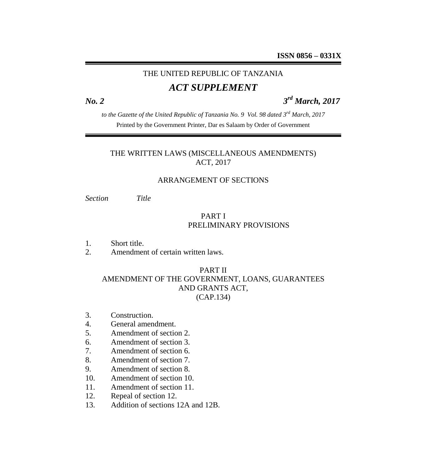# THE UNITED REPUBLIC OF TANZANIA

# *ACT SUPPLEMENT*

*No. 2 3*

*rd March, 2017*

*to the Gazette of the United Republic of Tanzania No. 9 Vol. 98 dated 3rd March, 2017* Printed by the Government Printer, Dar es Salaam by Order of Government

# THE WRITTEN LAWS (MISCELLANEOUS AMENDMENTS) ACT, 2017

#### ARRANGEMENT OF SECTIONS

*Section Title*

# PART I PRELIMINARY PROVISIONS

- 1. Short title.
- 2. Amendment of certain written laws.

#### PART II

#### AMENDMENT OF THE GOVERNMENT, LOANS, GUARANTEES AND GRANTS ACT, (CAP.134)

- 3. Construction.
- 4. General amendment.
- 5. Amendment of section 2.
- 6. Amendment of section 3.
- 7. Amendment of section 6.
- 8. Amendment of section 7.
- 9. Amendment of section 8.
- 10. Amendment of section 10.
- 11. Amendment of section 11.
- 12. Repeal of section 12.
- 13. Addition of sections 12A and 12B.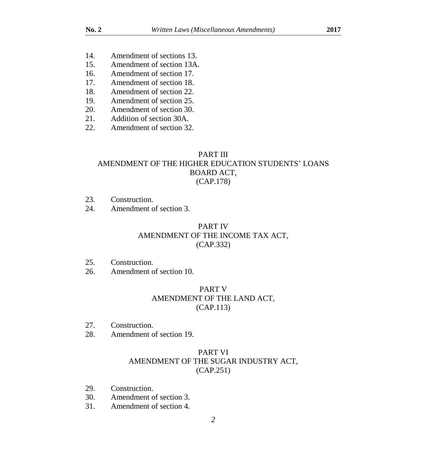- 14. Amendment of sections 13.
- 15. Amendment of section 13A.
- 16. Amendment of section 17.
- 17. Amendment of section 18.
- 18. Amendment of section 22.
- 19. Amendment of section 25.
- 20. Amendment of section 30.
- 21. Addition of section 30A.
- 22. Amendment of section 32.

#### PART III AMENDMENT OF THE HIGHER EDUCATION STUDENTS' LOANS BOARD ACT, (CAP.178)

- 23. Construction.
- 24. Amendment of section 3.

# PART IV AMENDMENT OF THE INCOME TAX ACT, (CAP.332)

- 25. Construction.
- 26. Amendment of section 10.

#### PART V AMENDMENT OF THE LAND ACT, (CAP.113)

- 27. Construction.
- 28. Amendment of section 19.

# PART VI AMENDMENT OF THE SUGAR INDUSTRY ACT, (CAP.251)

- 29. Construction.
- 30. Amendment of section 3.
- 31. Amendment of section 4.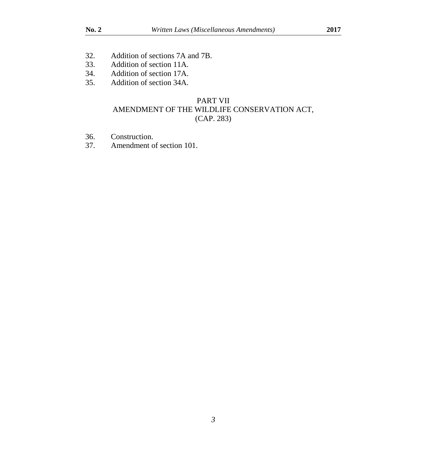- 32. Addition of sections 7A and 7B.<br>33. Addition of section 11A.
- Addition of section 11A.
- 34. Addition of section 17A.
- 35. Addition of section 34A.

# PART VII AMENDMENT OF THE WILDLIFE CONSERVATION ACT, (CAP. 283)

- 36. Construction.<br>37. Amendment c
- Amendment of section 101.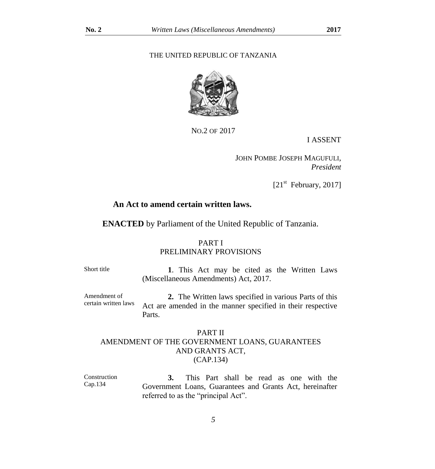#### THE UNITED REPUBLIC OF TANZANIA



NO.2 OF 2017

I ASSENT

 JOHN POMBE JOSEPH MAGUFULI, *President*

 $[21<sup>st</sup>$  February, 2017]

#### **An Act to amend certain written laws.**

**ENACTED** by Parliament of the United Republic of Tanzania.

#### PART I PRELIMINARY PROVISIONS

Short title **1**. This Act may be cited as the Written Laws (Miscellaneous Amendments) Act, 2017.

Amendment of certain written laws **2.** The Written laws specified in various Parts of this Act are amended in the manner specified in their respective Parts.

#### PART II AMENDMENT OF THE GOVERNMENT LOANS, GUARANTEES AND GRANTS ACT, (CAP.134)

Construction Cap.134 **3.** This Part shall be read as one with the Government Loans, Guarantees and Grants Act, hereinafter referred to as the "principal Act".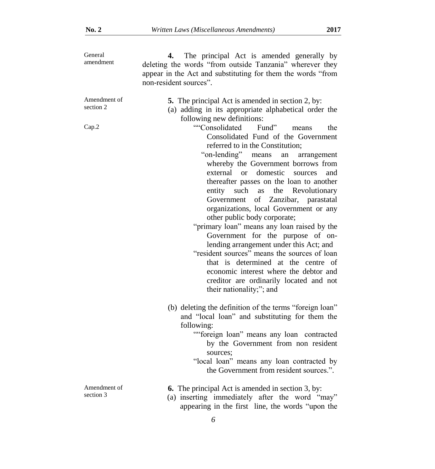| General<br>amendment               | The principal Act is amended generally by<br>4.<br>deleting the words "from outside Tanzania" wherever they<br>appear in the Act and substituting for them the words "from<br>non-resident sources".                                                                                                                                                                                                                                                                                                                                                                                                                                                                                                                                                                                                                                                                                                       |
|------------------------------------|------------------------------------------------------------------------------------------------------------------------------------------------------------------------------------------------------------------------------------------------------------------------------------------------------------------------------------------------------------------------------------------------------------------------------------------------------------------------------------------------------------------------------------------------------------------------------------------------------------------------------------------------------------------------------------------------------------------------------------------------------------------------------------------------------------------------------------------------------------------------------------------------------------|
| Amendment of<br>section 2<br>Cap.2 | 5. The principal Act is amended in section 2, by:<br>(a) adding in its appropriate alphabetical order the<br>following new definitions:<br>""Consolidated<br>Fund"<br>the<br>means<br>Consolidated Fund of the Government<br>referred to in the Constitution;<br>"on-lending"<br>means<br>an<br>arrangement<br>whereby the Government borrows from<br>external or domestic sources<br>and<br>thereafter passes on the loan to another<br>entity such<br>the Revolutionary<br>as<br>Government of Zanzibar, parastatal<br>organizations, local Government or any<br>other public body corporate;<br>"primary loan" means any loan raised by the<br>Government for the purpose of on-<br>lending arrangement under this Act; and<br>"resident sources" means the sources of loan<br>that is determined at the centre of<br>economic interest where the debtor and<br>creditor are ordinarily located and not |
| Amendment of<br>section 3          | their nationality;"; and<br>(b) deleting the definition of the terms "foreign loan"<br>and "local loan" and substituting for them the<br>following:<br>""foreign loan" means any loan contracted<br>by the Government from non resident<br>sources:<br>"local loan" means any loan contracted by<br>the Government from resident sources.".<br><b>6.</b> The principal Act is amended in section 3, by:<br>(a) inserting immediately after the word "may"<br>appearing in the first line, the words "upon the                                                                                                                                                                                                                                                                                                                                                                                              |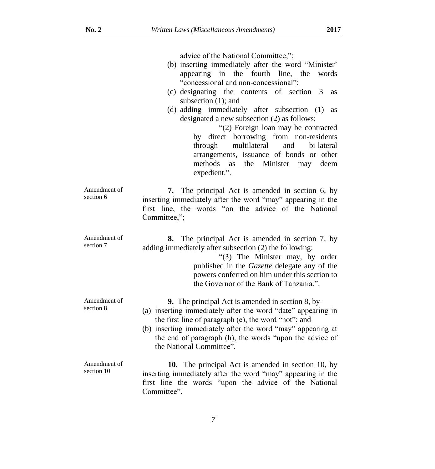|                            | advice of the National Committee,";<br>(b) inserting immediately after the word "Minister"<br>appearing in the fourth line, the<br>words<br>"concessional and non-concessional";<br>(c) designating the contents<br>of section<br>$\overline{\mathbf{3}}$<br>as<br>subsection $(1)$ ; and<br>(d) adding immediately after subsection (1)<br>as<br>designated a new subsection (2) as follows:<br>"(2) Foreign loan may be contracted<br>by direct borrowing from non-residents<br>multilateral<br>bi-lateral<br>through<br>and<br>arrangements, issuance of bonds or other<br>methods<br>the Minister may deem<br>as<br>expedient.". |
|----------------------------|--------------------------------------------------------------------------------------------------------------------------------------------------------------------------------------------------------------------------------------------------------------------------------------------------------------------------------------------------------------------------------------------------------------------------------------------------------------------------------------------------------------------------------------------------------------------------------------------------------------------------------------|
| Amendment of<br>section 6  | The principal Act is amended in section 6, by<br>7.<br>inserting immediately after the word "may" appearing in the<br>first line, the words "on the advice of the National<br>Committee,";                                                                                                                                                                                                                                                                                                                                                                                                                                           |
| Amendment of<br>section 7  | The principal Act is amended in section 7, by<br>8.<br>adding immediately after subsection (2) the following:<br>"(3) The Minister may, by order<br>published in the Gazette delegate any of the<br>powers conferred on him under this section to<br>the Governor of the Bank of Tanzania.".                                                                                                                                                                                                                                                                                                                                         |
| Amendment of<br>section 8  | <b>9.</b> The principal Act is amended in section 8, by-<br>(a) inserting immediately after the word "date" appearing in<br>the first line of paragraph (e), the word "not"; and<br>(b) inserting immediately after the word "may" appearing at<br>the end of paragraph (h), the words "upon the advice of<br>the National Committee".                                                                                                                                                                                                                                                                                               |
| Amendment of<br>section 10 | <b>10.</b> The principal Act is amended in section 10, by<br>inserting immediately after the word "may" appearing in the<br>first line the words "upon the advice of the National<br>Committee".                                                                                                                                                                                                                                                                                                                                                                                                                                     |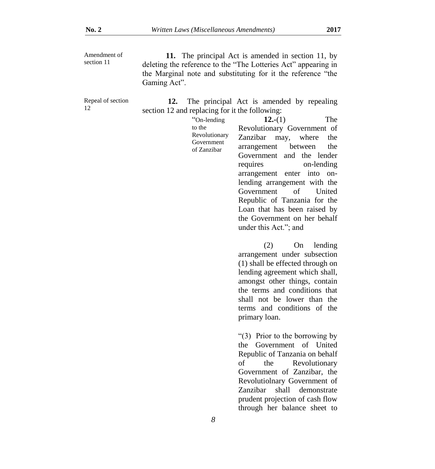| Amendment of | 11. The principal Act is amended in section 11, by             |
|--------------|----------------------------------------------------------------|
| section 11   | deleting the reference to the "The Lotteries Act" appearing in |
|              | the Marginal note and substituting for it the reference "the   |
|              | Gaming Act".                                                   |

Repeal of section 12

**12.** The principal Act is amended by repealing section 12 and replacing for it the following:

| "On-lending                                          | The<br>$12-(1)$                                                                                                                                                                                                                                                                                                                |
|------------------------------------------------------|--------------------------------------------------------------------------------------------------------------------------------------------------------------------------------------------------------------------------------------------------------------------------------------------------------------------------------|
| to the<br>Revolutionary<br>Government<br>of Zanzibar | Revolutionary Government of<br>Zanzibar may, where the<br>arrangement between the<br>Government and the lender<br>requires<br>on-lending<br>arrangement enter into on-<br>lending arrangement with the<br>Government of United<br>Republic of Tanzania for the<br>Loan that has been raised by<br>the Government on her behalf |
|                                                      | under this Act."; and<br>$(2)$ On lending<br>arrangement under subsection                                                                                                                                                                                                                                                      |

arrangement under subsection (1) shall be effected through on lending agreement which shall, amongst other things, contain the terms and conditions that shall not be lower than the terms and conditions of the primary loan.

"(3) Prior to the borrowing by the Government of United Republic of Tanzania on behalf of the Revolutionary Government of Zanzibar, the Revolutiolnary Government of Zanzibar shall demonstrate prudent projection of cash flow through her balance sheet to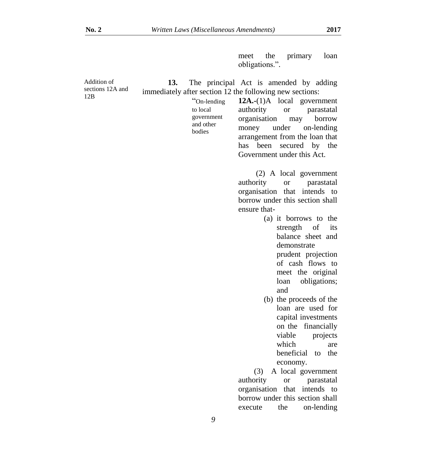meet the primary loan obligations.".

| Addition of      | 13. |                     | The principal Act is amended by adding                             |
|------------------|-----|---------------------|--------------------------------------------------------------------|
| sections 12A and |     |                     | immediately after section 12 the following new sections:           |
| 12B              |     | "On-lending         | $12A.-(1)A$ local government                                       |
|                  |     | to local            | authority<br>parastatal<br><b>or</b>                               |
|                  |     | government          | organisation<br>borrow<br>may                                      |
|                  |     | and other<br>bodies | money<br>under<br>on-lending                                       |
|                  |     |                     | arrangement from the loan that                                     |
|                  |     |                     | been secured by the<br>has                                         |
|                  |     |                     | Government under this Act.                                         |
|                  |     |                     | (2) A local government                                             |
|                  |     |                     | authority<br>parastatal<br><b>or</b>                               |
|                  |     |                     | organisation that<br>intends to                                    |
|                  |     |                     | borrow under this section shall                                    |
|                  |     |                     | ensure that-                                                       |
|                  |     |                     | (a) it borrows to the                                              |
|                  |     |                     | strength of<br>its                                                 |
|                  |     |                     | balance sheet and                                                  |
|                  |     |                     | demonstrate                                                        |
|                  |     |                     | prudent projection<br>of cash flows to                             |
|                  |     |                     | meet the original                                                  |
|                  |     |                     | obligations;<br>loan                                               |
|                  |     |                     | and                                                                |
|                  |     |                     | (b) the proceeds of the                                            |
|                  |     |                     | loan are used for                                                  |
|                  |     |                     | capital investments                                                |
|                  |     |                     | on the financially                                                 |
|                  |     |                     | viable<br>projects                                                 |
|                  |     |                     | which<br>are                                                       |
|                  |     |                     | beneficial<br>the<br>to                                            |
|                  |     |                     | economy.                                                           |
|                  |     |                     | A local government<br>(3)                                          |
|                  |     |                     | authority<br>parastatal<br><b>or</b>                               |
|                  |     |                     | organisation that<br>intends to<br>borrow under this section shall |
|                  |     |                     | on-lending<br>execute<br>the                                       |
|                  |     |                     |                                                                    |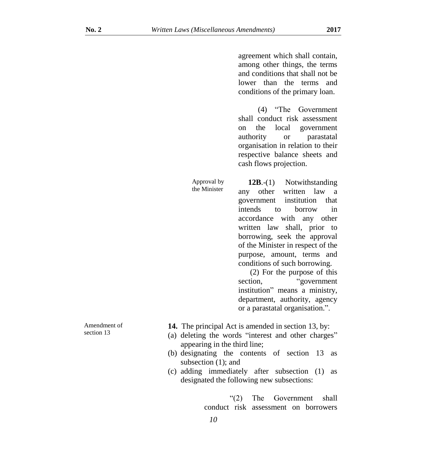agreement which shall contain, among other things, the terms and conditions that shall not be lower than the terms and conditions of the primary loan.

 (4) "The Government shall conduct risk assessment on the local government authority or parastatal organisation in relation to their respective balance sheets and cash flows projection.

Approval by the Minister

 **12B**.-(1) Notwithstanding any other written law a government institution that intends to borrow in accordance with any other written law shall, prior to borrowing, seek the approval of the Minister in respect of the purpose, amount, terms and conditions of such borrowing.

 (2) For the purpose of this section, "government" institution" means a ministry, department, authority, agency or a parastatal organisation.".

- **14.** The principal Act is amended in section 13, by:
- (a) deleting the words "interest and other charges" appearing in the third line;
- (b) designating the contents of section 13 as subsection (1); and
- (c) adding immediately after subsection (1) as designated the following new subsections:

"(2) The Government shall conduct risk assessment on borrowers

Amendment of section 13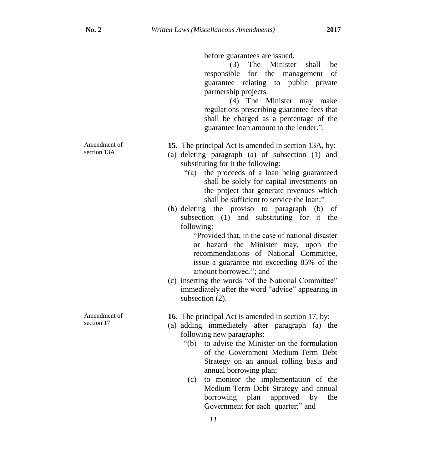before guarantees are issued.

(3) The Minister shall be responsible for the management of guarantee relating to public private partnership projects.

(4) The Minister may make regulations prescribing guarantee fees that shall be charged as a percentage of the guarantee loan amount to the lender.".

**15.** The principal Act is amended in section 13A, by:

- (a) deleting paragraph (a) of subsection (1) and substituting for it the following:
	- "(a) the proceeds of a loan being guaranteed shall be solely for capital investments on the project that generate revenues which shall be sufficient to service the loan;"
- (b) deleting the proviso to paragraph (b) of subsection (1) and substituting for it the following:

"Provided that, in the case of national disaster or hazard the Minister may, upon the recommendations of National Committee, issue a guarantee not exceeding 85% of the amount borrowed."; and

(c) inserting the words "of the National Committee" immediately after the word "advice" appearing in subsection (2).

**16.** The principal Act is amended in section 17, by:

- (a) adding immediately after paragraph (a) the following new paragraphs:
	- "(b) to advise the Minister on the formulation of the Government Medium-Term Debt Strategy on an annual rolling basis and annual borrowing plan;
	- (c) to monitor the implementation of the Medium-Term Debt Strategy and annual borrowing plan approved by the Government for each quarter;" and

Amendment of section 13A

Amendment of section 17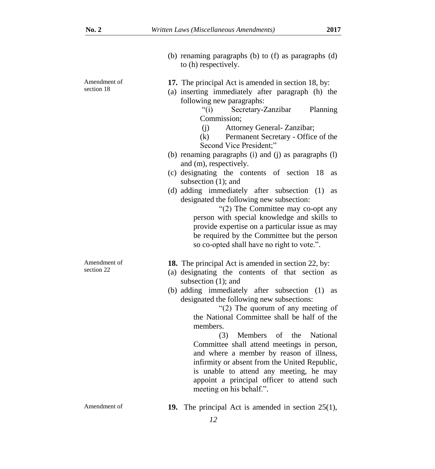|                            | (b) renaming paragraphs (b) to (f) as paragraphs (d)<br>to (h) respectively.                                                                                                                                                                                                                                                                                                                                                                                                                                                                                                                                                                                                                                                                                                                                       |
|----------------------------|--------------------------------------------------------------------------------------------------------------------------------------------------------------------------------------------------------------------------------------------------------------------------------------------------------------------------------------------------------------------------------------------------------------------------------------------------------------------------------------------------------------------------------------------------------------------------------------------------------------------------------------------------------------------------------------------------------------------------------------------------------------------------------------------------------------------|
| Amendment of<br>section 18 | 17. The principal Act is amended in section 18, by:<br>(a) inserting immediately after paragraph (h) the<br>following new paragraphs:<br>" $(i)$<br>Secretary-Zanzibar<br>Planning<br>Commission;<br>Attorney General- Zanzibar;<br>(i)<br>(k) Permanent Secretary - Office of the<br>Second Vice President;"<br>(b) renaming paragraphs (i) and (j) as paragraphs (l)<br>and (m), respectively.<br>(c) designating the contents of section 18<br>as<br>subsection $(1)$ ; and<br>(d) adding immediately after subsection (1)<br>as<br>designated the following new subsection:<br>"(2) The Committee may co-opt any<br>person with special knowledge and skills to<br>provide expertise on a particular issue as may<br>be required by the Committee but the person<br>so co-opted shall have no right to vote.". |
| Amendment of<br>section 22 | <b>18.</b> The principal Act is amended in section 22, by:<br>(a) designating the contents of that section as<br>subsection $(1)$ ; and<br>(b) adding immediately after subsection (1)<br><b>as</b><br>designated the following new subsections:<br>"(2) The quorum of any meeting of<br>the National Committee shall be half of the<br>members.<br>Members of the National<br>(3)<br>Committee shall attend meetings in person,<br>and where a member by reason of illness,<br>infirmity or absent from the United Republic,<br>is unable to attend any meeting, he may<br>appoint a principal officer to attend such<br>meeting on his behalf.".                                                                                                                                                                 |
| Amendment of               | <b>19.</b> The principal Act is amended in section $25(1)$ ,<br>12                                                                                                                                                                                                                                                                                                                                                                                                                                                                                                                                                                                                                                                                                                                                                 |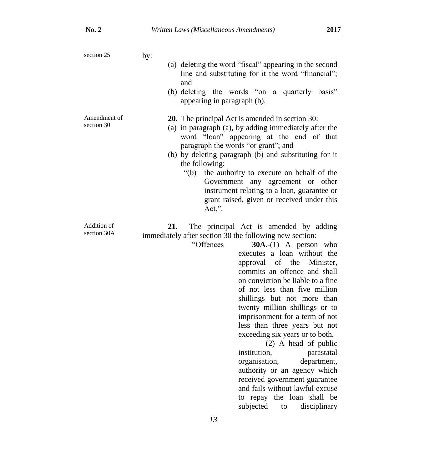| section 25                 | by:                                                                                                                                                                                                                                                                                                                                                                                                                                                                                                                                                                                                                                                                                                                                                    |
|----------------------------|--------------------------------------------------------------------------------------------------------------------------------------------------------------------------------------------------------------------------------------------------------------------------------------------------------------------------------------------------------------------------------------------------------------------------------------------------------------------------------------------------------------------------------------------------------------------------------------------------------------------------------------------------------------------------------------------------------------------------------------------------------|
|                            | (a) deleting the word "fiscal" appearing in the second<br>line and substituting for it the word "financial";<br>and                                                                                                                                                                                                                                                                                                                                                                                                                                                                                                                                                                                                                                    |
|                            | (b) deleting the words "on a quarterly basis"<br>appearing in paragraph (b).                                                                                                                                                                                                                                                                                                                                                                                                                                                                                                                                                                                                                                                                           |
| Amendment of<br>section 30 | <b>20.</b> The principal Act is amended in section 30:<br>(a) in paragraph (a), by adding immediately after the<br>word "loan" appearing at the end of that<br>paragraph the words "or grant"; and<br>(b) by deleting paragraph (b) and substituting for it<br>the following:<br>" $(b)$ "<br>the authority to execute on behalf of the<br>Government any agreement or other<br>instrument relating to a loan, guarantee or                                                                                                                                                                                                                                                                                                                            |
|                            | grant raised, given or received under this<br>Act.".                                                                                                                                                                                                                                                                                                                                                                                                                                                                                                                                                                                                                                                                                                   |
| Addition of<br>section 30A | 21.<br>The principal Act is amended by adding<br>immediately after section 30 the following new section:<br>"Offences<br>$30A.-(1)$ A person who<br>executes a loan without the<br>approval of the Minister,<br>commits an offence and shall<br>on conviction be liable to a fine<br>of not less than five million<br>shillings but not more than<br>twenty million shillings or to<br>imprisonment for a term of not<br>less than three years but not<br>exceeding six years or to both.<br>$(2)$ A head of public<br>institution,<br>parastatal<br>organisation,<br>department,<br>authority or an agency which<br>received government guarantee<br>and fails without lawful excuse<br>to repay the loan shall be<br>subjected<br>disciplinary<br>to |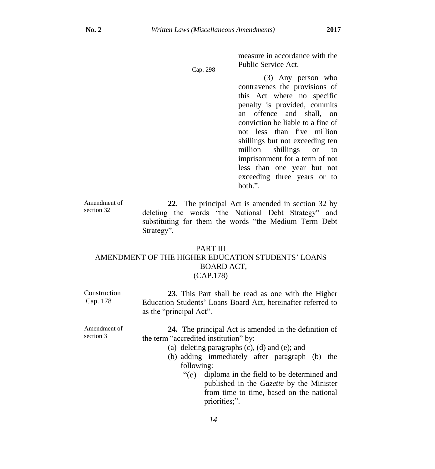Cap. 298

measure in accordance with the Public Service Act.

(3) Any person who contravenes the provisions of this Act where no specific penalty is provided, commits an offence and shall, on conviction be liable to a fine of not less than five million shillings but not exceeding ten million shillings or to imprisonment for a term of not less than one year but not exceeding three years or to both.".

Amendment of section 32 **22.** The principal Act is amended in section 32 by deleting the words "the National Debt Strategy" and substituting for them the words "the Medium Term Debt Strategy".

#### PART III AMENDMENT OF THE HIGHER EDUCATION STUDENTS' LOANS BOARD ACT, (CAP.178)

| Construction<br>Cap. 178  | 23. This Part shall be read as one with the Higher<br>Education Students' Loans Board Act, hereinafter referred to<br>as the "principal Act".                                                                                  |
|---------------------------|--------------------------------------------------------------------------------------------------------------------------------------------------------------------------------------------------------------------------------|
| Amendment of<br>section 3 | <b>24.</b> The principal Act is amended in the definition of<br>the term "accredited institution" by:<br>(a) deleting paragraphs $(c)$ , $(d)$ and $(e)$ ; and<br>(b) adding immediately after paragraph (b) the<br>following: |
|                           | diploma in the field to be determined and<br>$\degree$ (c)<br>published in the Gazette by the Minister<br>from time to time, based on the national<br>priorities;".                                                            |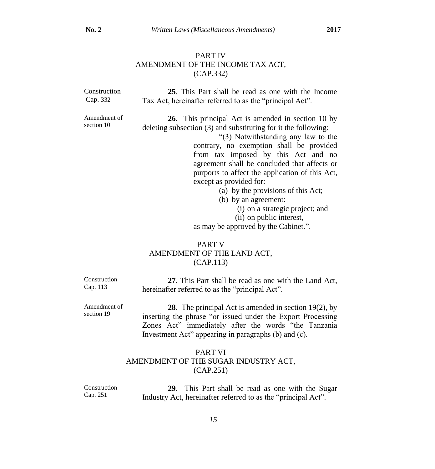section 19

# PART IV AMENDMENT OF THE INCOME TAX ACT, (CAP.332)

| Construction<br>Cap. 332   | 25. This Part shall be read as one with the Income<br>Tax Act, hereinafter referred to as the "principal Act".                                                                                                                                                                                                                                                                                                                                                                                                                                           |
|----------------------------|----------------------------------------------------------------------------------------------------------------------------------------------------------------------------------------------------------------------------------------------------------------------------------------------------------------------------------------------------------------------------------------------------------------------------------------------------------------------------------------------------------------------------------------------------------|
| Amendment of<br>section 10 | <b>26.</b> This principal Act is amended in section 10 by<br>deleting subsection (3) and substituting for it the following:<br>"(3) Notwithstanding any law to the<br>contrary, no exemption shall be provided<br>from tax imposed by this Act and no<br>agreement shall be concluded that affects or<br>purports to affect the application of this Act,<br>except as provided for:<br>(a) by the provisions of this Act;<br>(b) by an agreement:<br>(i) on a strategic project; and<br>(ii) on public interest,<br>as may be approved by the Cabinet.". |
|                            | <b>PART V</b><br>AMENDMENT OF THE LAND ACT,<br>(CAP.113)                                                                                                                                                                                                                                                                                                                                                                                                                                                                                                 |

| Construction | 27. This Part shall be read as one with the Land Act,  |
|--------------|--------------------------------------------------------|
| Cap. 113     | hereinafter referred to as the "principal Act".        |
| Amendment of | 28. The principal Act is amended in section $19(2)$ by |

**28**. The principal Act is amended in section 19(2), by inserting the phrase "or issued under the Export Processing Zones Act" immediately after the words "the Tanzania Investment Act" appearing in paragraphs (b) and (c).

# PART VI AMENDMENT OF THE SUGAR INDUSTRY ACT, (CAP.251)

Construction Cap. 251 **29**. This Part shall be read as one with the Sugar Industry Act, hereinafter referred to as the "principal Act".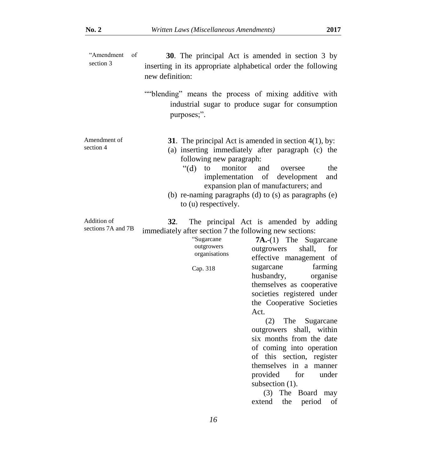| "Amendment<br>of<br>section 3     | 30. The principal Act is amended in section 3 by<br>inserting in its appropriate alphabetical order the following<br>new definition:                                                                                                                                                                                                                                                                                                                                                                                                                                                                                                                                                      |
|-----------------------------------|-------------------------------------------------------------------------------------------------------------------------------------------------------------------------------------------------------------------------------------------------------------------------------------------------------------------------------------------------------------------------------------------------------------------------------------------------------------------------------------------------------------------------------------------------------------------------------------------------------------------------------------------------------------------------------------------|
|                                   | ""blending" means the process of mixing additive with<br>industrial sugar to produce sugar for consumption<br>purposes;".                                                                                                                                                                                                                                                                                                                                                                                                                                                                                                                                                                 |
| Amendment of<br>section 4         | 31. The principal Act is amended in section $4(1)$ , by:<br>(a) inserting immediately after paragraph (c) the<br>following new paragraph:<br>monitor<br>" $(d)$ "<br>to<br>the<br>and<br>oversee<br>implementation<br>of<br>development<br>and<br>expansion plan of manufacturers; and<br>(b) re-naming paragraphs (d) to (s) as paragraphs (e)<br>to (u) respectively.                                                                                                                                                                                                                                                                                                                   |
| Addition of<br>sections 7A and 7B | 32.<br>The principal Act is amended by adding<br>immediately after section 7 the following new sections:<br>"Sugarcane<br>$7A.-(1)$ The Sugarcane<br>outgrowers<br>shall,<br>for<br>outgrowers<br>organisations<br>effective management of<br>sugarcane<br>farming<br>Cap. 318<br>husbandry,<br>organise<br>themselves as cooperative<br>societies registered under<br>the Cooperative Societies<br>Act.<br>The<br>(2)<br>Sugarcane<br>outgrowers<br>shall, within<br>six months from the date<br>of coming into operation<br>of this section, register<br>themselves in a manner<br>provided<br>for<br>under<br>subsection $(1)$ .<br>(3) The Board may<br>period<br>extend<br>the<br>οf |
|                                   | 16                                                                                                                                                                                                                                                                                                                                                                                                                                                                                                                                                                                                                                                                                        |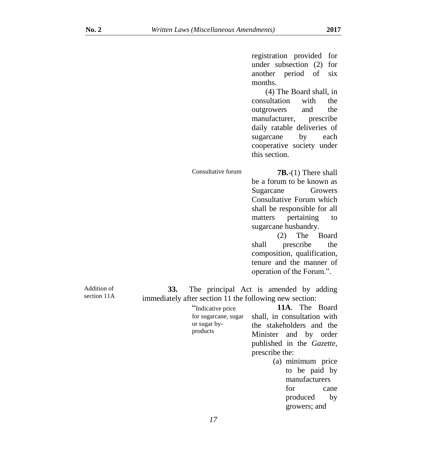registration provided for under subsection (2) for another period of six months.

(4) The Board shall, in consultation with the outgrowers and the manufacturer, prescribe daily ratable deliveries of sugarcane by each cooperative society under this section.

Consultative forum **7B.**-(1) There shall be a forum to be known as Sugarcane Growers Consultative Forum which shall be responsible for all matters pertaining to sugarcane husbandry. (2) The Board

shall prescribe the composition, qualification, tenure and the manner of operation of the Forum.".

growers; and

Addition of section 11A

**33.** The principal Act is amended by adding immediately after section 11 the following new section:

| "Indicative price    | 11A. The Board              |
|----------------------|-----------------------------|
| for sugarcane, sugar | shall, in consultation with |
| or sugar by-         | the stakeholders and the    |
| products             | Minister and by order       |
|                      | published in the Gazette,   |
|                      | prescribe the:              |
|                      | (a) minimum price           |
|                      | to be paid by               |
|                      | manufacturers               |
|                      | for<br>cane                 |
|                      | produced<br>by              |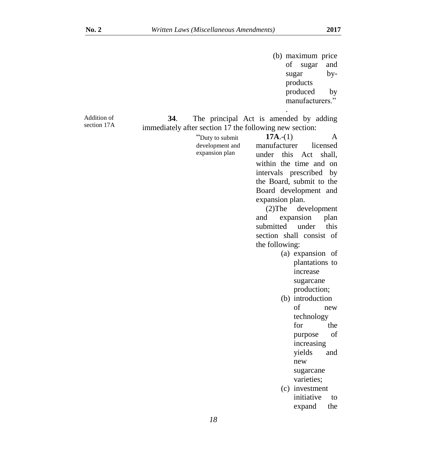|                            |                                                                                                                        | (b) maximum price<br>of<br>sugar<br>and<br>sugar<br>by-<br>products<br>produced<br>by<br>manufacturers."                                                                                                                                                                                                                                                                                                                                                                                                                                                                                                                                                                       |
|----------------------------|------------------------------------------------------------------------------------------------------------------------|--------------------------------------------------------------------------------------------------------------------------------------------------------------------------------------------------------------------------------------------------------------------------------------------------------------------------------------------------------------------------------------------------------------------------------------------------------------------------------------------------------------------------------------------------------------------------------------------------------------------------------------------------------------------------------|
| Addition of<br>section 17A | 34.<br>immediately after section 17 the following new section:<br>"Duty to submit<br>development and<br>expansion plan | The principal Act is amended by adding<br>$17A-(1)$<br>A<br>manufacturer<br>licensed<br>this<br>shall.<br>under<br>Act<br>within the time and on<br>intervals prescribed<br>by<br>the Board, submit to the<br>Board development and<br>expansion plan.<br>development<br>$(2)$ The<br>expansion<br>and<br>plan<br>submitted<br>under<br>this<br>section shall consist of<br>the following:<br>(a) expansion of<br>plantations to<br>increase<br>sugarcane<br>production;<br>(b) introduction<br>of<br>new<br>technology<br>for<br>the<br>of<br>purpose<br>increasing<br>yields<br>and<br>new<br>sugarcane<br>varieties;<br>(c) investment<br>initiative<br>to<br>expand<br>the |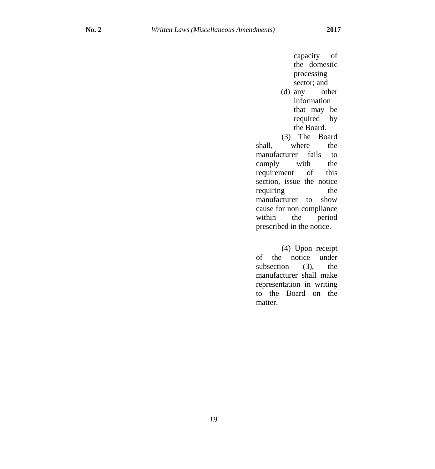capacity of the domestic processing sector; and (d) any other information that may be required by the Board. (3) The Board shall, where the manufacturer fails to comply with the requirement of this section, issue the notice requiring the manufacturer to show cause for non compliance within the period prescribed in the notice.

(4) Upon receipt of the notice under subsection (3), the manufacturer shall make representation in writing to the Board on the matter.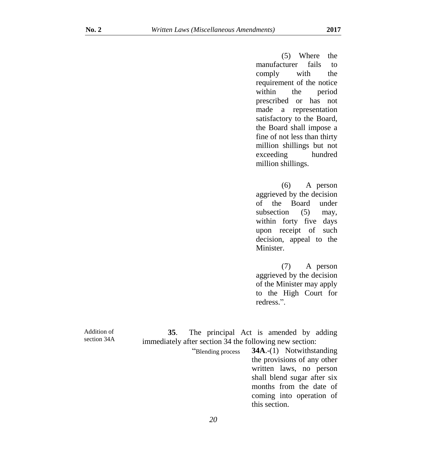(5) Where the manufacturer fails to comply with the requirement of the notice within the period prescribed or has not made a representation satisfactory to the Board, the Board shall impose a fine of not less than thirty million shillings but not exceeding hundred million shillings.

(6) A person aggrieved by the decision of the Board under subsection (5) may, within forty five days upon receipt of such decision, appeal to the Minister.

(7) A person aggrieved by the decision of the Minister may apply to the High Court for redress.".

**35**. The principal Act is amended by adding immediately after section 34 the following new section:

"Blending process **34A**.-(1) Notwithstanding the provisions of any other written laws, no person shall blend sugar after six months from the date of coming into operation of this section.

Addition of section 34A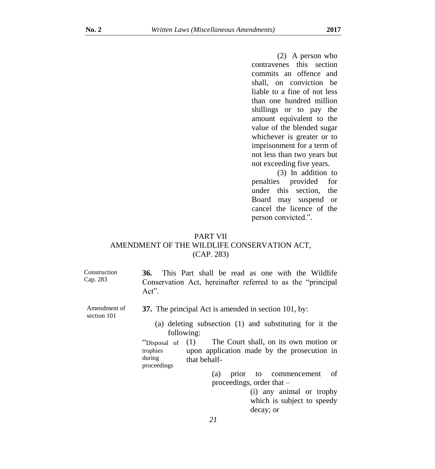(2) A person who contravenes this section commits an offence and shall, on conviction be liable to a fine of not less than one hundred million shillings or to pay the amount equivalent to the value of the blended sugar whichever is greater or to imprisonment for a term of not less than two years but not exceeding five years.

(3) In addition to penalties provided for under this section, the Board may suspend or cancel the licence of the person convicted.".

# PART VII AMENDMENT OF THE WILDLIFE CONSERVATION ACT, (CAP. 283)

| Construction |         |  |  |  |  | <b>36.</b> This Part shall be read as one with the Wildlife  |
|--------------|---------|--|--|--|--|--------------------------------------------------------------|
| Cap. 283     | $Act^"$ |  |  |  |  | Conservation Act, hereinafter referred to as the "principal" |

- **37.** The principal Act is amended in section 101, by:
	- (a) deleting subsection (1) and substituting for it the following:

"Disposal of  $(1)$ trophies during proceedings The Court shall, on its own motion or upon application made by the prosecution in that behalf-

> (a) prior to commencement of proceedings, order that –

> > (i) any animal or trophy which is subject to speedy decay; or

Amendment of section 101